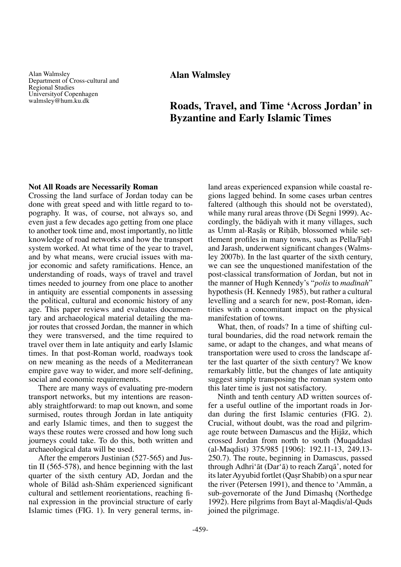Alan Walmsley Department of Cross-cultural and Regional Studies Universityof Copenhagen walmsley@hum.ku.dk

**Alan Walmsley**

# **Roads, Travel, and Time 'Across Jordan' in Byzantine and Early Islamic Times**

### **Not All Roads are Necessarily Roman**

Crossing the land surface of Jordan today can be done with great speed and with little regard to topography. It was, of course, not always so, and even just a few decades ago getting from one place to another took time and, most importantly, no little knowledge of road networks and how the transport system worked. At what time of the year to travel, and by what means, were crucial issues with major economic and safety ramifications. Hence, an understanding of roads, ways of travel and travel times needed to journey from one place to another in antiquity are essential components in assessing the political, cultural and economic history of any age. This paper reviews and evaluates documentary and archaeological material detailing the major routes that crossed Jordan, the manner in which they were transversed, and the time required to travel over them in late antiquity and early Islamic times. In that post-Roman world, roadways took on new meaning as the needs of a Mediterranean empire gave way to wider, and more self-defining, social and economic requirements.

There are many ways of evaluating pre-modern transport networks, but my intentions are reasonably straightforward: to map out known, and some surmised, routes through Jordan in late antiquity and early Islamic times, and then to suggest the ways these routes were crossed and how long such journeys could take. To do this, both written and archaeological data will be used.

After the emperors Justinian (527-565) and Justin II (565-578), and hence beginning with the last quarter of the sixth century AD, Jordan and the whole of Bilåd ash-Shåm experienced significant cultural and settlement reorientations, reaching final expression in the provincial structure of early Islamic times (FIG. 1). In very general terms, inland areas experienced expansion while coastal regions lagged behind. In some cases urban centres faltered (although this should not be overstated), while many rural areas throve (Di Segni 1999). Accordingly, the bådiyah with it many villages, such as Umm al-Rasās or Rihāb, blossomed while settlement profiles in many towns, such as Pella/Fahl and Jarash, underwent significant changes (Walmsley 2007b). In the last quarter of the sixth century, we can see the unquestioned manifestation of the post-classical transformation of Jordan, but not in the manner of Hugh Kennedy's "*polis* to *madπnah*" hypothesis (H. Kennedy 1985), but rather a cultural levelling and a search for new, post-Roman, identities with a concomitant impact on the physical manifestation of towns.

What, then, of roads? In a time of shifting cultural boundaries, did the road network remain the same, or adapt to the changes, and what means of transportation were used to cross the landscape after the last quarter of the sixth century? We know remarkably little, but the changes of late antiquity suggest simply transposing the roman system onto this later time is just not satisfactory.

Ninth and tenth century AD written sources offer a useful outline of the important roads in Jordan during the first Islamic centuries (FIG. 2). Crucial, without doubt, was the road and pilgrimage route between Damascus and the Hijāz, which crossed Jordan from north to south (Muqaddasi (al-Maqdisπ) 375/985 [1906]: 192.11-13, 249.13- 250.7). The route, beginning in Damascus, passed through Adhri'åt (Dar'å) to reach Zarqå', noted for its later Ayyubid fortlet (Qasr Shabib) on a spur near the river (Petersen 1991), and thence to 'Ammån, a sub-governorate of the Jund Dimashq (Northedge 1992). Here pilgrims from Bayt al-Maqdis/al-Quds joined the pilgrimage.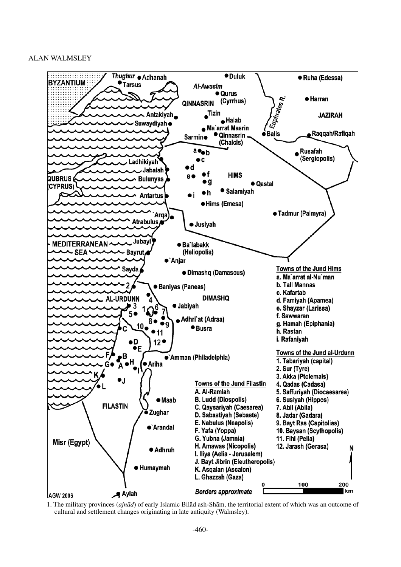

1. The military provinces (*ajnåd*) of early Islamic Bilåd ash-Shåm, the territorial extent of which was an outcome of cultural and settlement changes originating in late antiquity (Walmsley).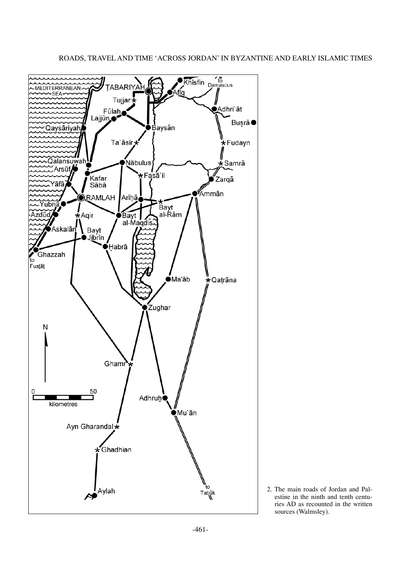

# ROADS, TRAVEL AND TIME 'ACROSS JORDAN' IN BYZANTINE AND EARLY ISLAMIC TIMES

2. The main roads of Jordan and Palestine in the ninth and tenth centuries AD as recounted in the written sources (Walmsley).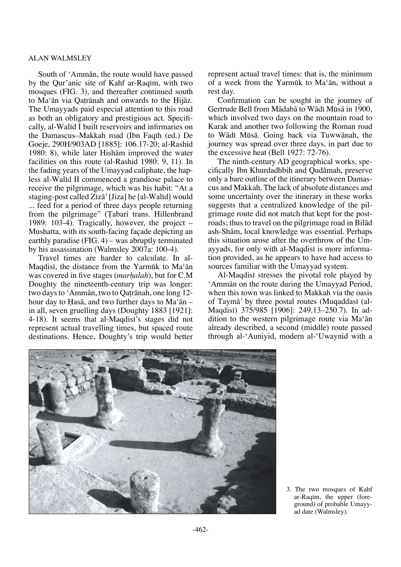South of 'Ammån, the route would have passed by the Qur'anic site of Kahf ar-Raqim, with two mosques (FIG. 3), and thereafter continued south to Ma'ān via Qatrānah and onwards to the Hijāz. The Umayyads paid especial attention to this road as both an obligatory and prestigious act. Specifically, al-Walid I built reservoirs and infirmaries on the Damascus–Makkah road (Ibn Faqih (ed.) De Goeje, 290H/903AD [1885]: 106.17-20; al-Rashid 1980: 8), while later Hishåm improved the water facilities on this route (al-Rashid 1980: 9, 11). In the fading years of the Umayyad caliphate, the hapless al-Walid II commenced a grandiose palace to receive the pilgrimage, which was his habit: "At a staging-post called Zīzā' [Jiza] he [al-Walīd] would ... feed for a period of three days people returning from the pilgrimage" (Tabari trans. Hillenbrand 1989: 103-4). Tragically, however, the project – Mushatta, with its south-facing façade depicting an earthly paradise (FIG. 4) – was abruptly terminated by his assassination (Walmsley 2007a: 100-4).

Travel times are harder to calculate. In al-Magdisi, the distance from the Yarmūk to Ma'ān was covered in five stages (*marhalah*), but for C.M Doughty the nineteenth-century trip was longer: two days to 'Ammān, two to Qatrānah, one long 12hour day to Haså, and two further days to Ma'ån – in all, seven gruelling days (Doughty 1883 [1921]: 4-18). It seems that al-Magdisi's stages did not represent actual travelling times, but spaced route destinations. Hence, Doughty's trip would better represent actual travel times: that is, the minimum of a week from the Yarmøk to Ma'ån, without a rest day.

Confirmation can be sought in the journey of Gertrude Bell from Mādabā to Wādī Mūsā in 1900, which involved two days on the mountain road to Karak and another two following the Roman road to Wādī Mūsā. Going back via Tuwwānah, the journey was spread over three days, in part due to the excessive heat (Bell 1927: 72-76).

The ninth-century AD geographical works, specifically Ibn Khurdadhbih and Qudåmah, preserve only a bare outline of the itinerary between Damascus and Makkah. The lack of absolute distances and some uncertainty over the itinerary in these works suggests that a centralized knowledge of the pilgrimage route did not match that kept for the postroads; thus to travel on the pilgrimage road in Bilåd ash-Shåm, local knowledge was essential. Perhaps this situation arose after the overthrow of the Umayyads, for only with al-Magdisi is more information provided, as he appears to have had access to sources familiar with the Umayyad system.

Al-Maqdisi stresses the pivotal role played by 'Ammån on the route during the Umayyad Period, when this town was linked to Makkah via the oasis of Taymā' by three postal routes (Muqaddasi (al-Maqdisπ) 375/985 [1906]: 249.13–250.7). In addition to the western pilgrimage route via Ma'ån already described, a second (middle) route passed through al-'Auniyid, modern al-'Uwaynid with a



3. The two mosques of Kahf ar-Raqim, the upper (foreground) of probable Umayyad date (Walmsley).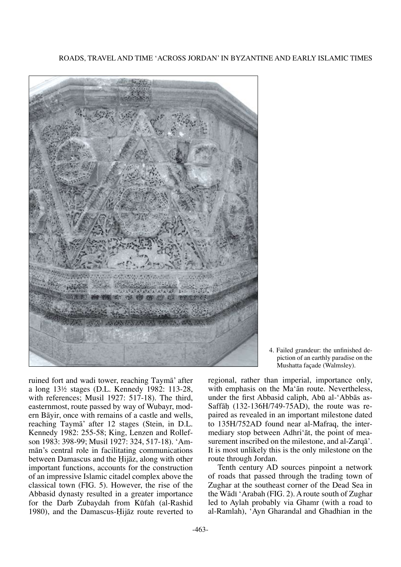

ruined fort and wadi tower, reaching Taymå' after a long 13½ stages (D.L. Kennedy 1982: 113-28, with references; Musil 1927: 517-18). The third, easternmost, route passed by way of Wubayr, modern Båyir, once with remains of a castle and wells, reaching Taymå' after 12 stages (Stein, in D.L. Kennedy 1982: 255-58; King, Lenzen and Rollefson 1983: 398-99; Musil 1927: 324, 517-18). 'Ammån's central role in facilitating communications between Damascus and the Hijaz, along with other important functions, accounts for the construction of an impressive Islamic citadel complex above the classical town (FIG. 5). However, the rise of the Abbasid dynasty resulted in a greater importance for the Darb Zubaydah from Køfah (al-Rashid 1980), and the Damascus-Hijaz route reverted to

4. Failed grandeur: the unfinished depiction of an earthly paradise on the Mushatta façade (Walmsley).

regional, rather than imperial, importance only, with emphasis on the Ma'ån route. Nevertheless, under the first Abbasid caliph, Abū al-'Abbās as-Saffāh (132-136H/749-75AD), the route was repaired as revealed in an important milestone dated to 135H/752AD found near al-Mafraq, the intermediary stop between Adhri'åt, the point of measurement inscribed on the milestone, and al-Zarqå'. It is most unlikely this is the only milestone on the route through Jordan.

Tenth century AD sources pinpoint a network of roads that passed through the trading town of Zughar at the southeast corner of the Dead Sea in the Wādī 'Arabah (FIG. 2). A route south of Zughar led to Aylah probably via Ghamr (with a road to al-Ramlah), 'Ayn Gharandal and Ghadhian in the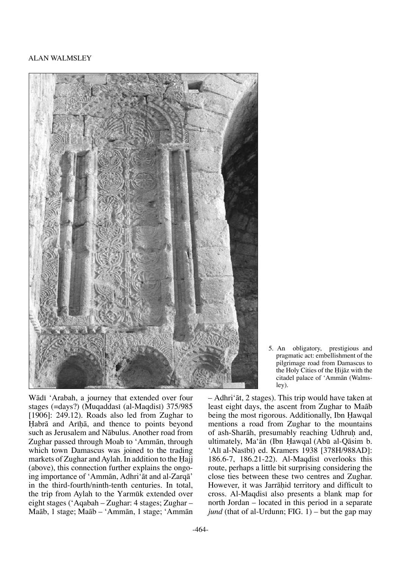

Wādī 'Arabah, a journey that extended over four stages (=days?) (Muqaddasi (al-Maqdisi) 375/985 [1906]: 249.12). Roads also led from Zughar to Habrā and Arīhā, and thence to points beyond such as Jerusalem and Nåbulus. Another road from Zughar passed through Moab to 'Ammån, through which town Damascus was joined to the trading markets of Zughar and Aylah. In addition to the Hajj (above), this connection further explains the ongoing importance of 'Ammån, Adhri'åt and al-Zarqå' in the third-fourth/ninth-tenth centuries. In total, the trip from Aylah to the Yarmūk extended over eight stages ('Aqabah – Zughar: 4 stages; Zughar – Maåb, 1 stage; Maåb – 'Ammån, 1 stage; 'Ammån

5. An obligatory, prestigious and pragmatic act: embellishment of the pilgrimage road from Damascus to the Holy Cities of the Hijāz with the citadel palace of 'Ammån (Walmsley).

– Adhri'åt, 2 stages). This trip would have taken at least eight days, the ascent from Zughar to Maåb being the most rigorous. Additionally, Ibn Hawqal mentions a road from Zughar to the mountains of ash-Sharāh, presumably reaching Udhruh and, ultimately, Ma'ān (Ibn Hawqal (Abū al-Qāsim b. 'Alī al-Nasībī) ed. Kramers 1938 [378H/988AD]: 186.6-7, 186.21-22). Al-Magdisi overlooks this route, perhaps a little bit surprising considering the close ties between these two centres and Zughar. However, it was Jarrāhid territory and difficult to cross. Al-Maqdisi also presents a blank map for north Jordan – located in this period in a separate *jund* (that of al-Urdunn; FIG. 1) – but the gap may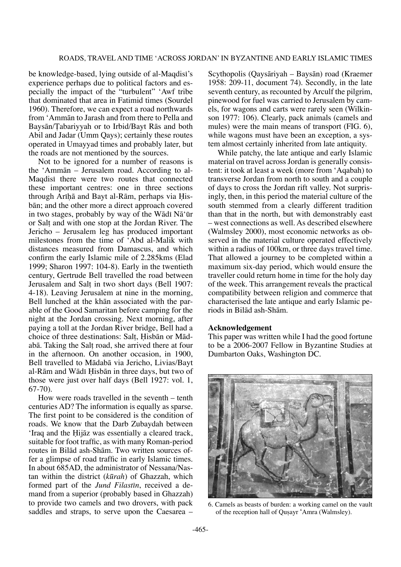be knowledge-based, lying outside of al-Maqdisi's experience perhaps due to political factors and especially the impact of the "turbulent" 'Awf tribe that dominated that area in Fatimid times (Sourdel 1960). Therefore, we can expect a road northwards from 'Ammån to Jarash and from there to Pella and Baysān/Tabariyyah or to Irbid/Bayt Rās and both Abil and Jadar (Umm Qays); certainly these routes operated in Umayyad times and probably later, but the roads are not mentioned by the sources.

Not to be ignored for a number of reasons is the 'Ammån – Jerusalem road. According to al-Maqdisi there were two routes that connected these important centres: one in three sections through Arīhā and Bayt al-Rām, perhaps via Hisbån; and the other more a direct approach covered in two stages, probably by way of the Wādī Nā'ūr or Sal† and with one stop at the Jordan River. The Jericho – Jerusalem leg has produced important milestones from the time of 'Abd al-Malik with distances measured from Damascus, and which confirm the early Islamic mile of 2.285kms (Elad 1999; Sharon 1997: 104-8). Early in the twentieth century, Gertrude Bell travelled the road between Jerusalem and Sal† in two short days (Bell 1907: 4-18). Leaving Jerusalem at nine in the morning, Bell lunched at the khån associated with the parable of the Good Samaritan before camping for the night at the Jordan crossing. Next morning, after paying a toll at the Jordan River bridge, Bell had a choice of three destinations: Salt, Hisbān or Mādabå. Taking the Sal† road, she arrived there at four in the afternoon. On another occasion, in 1900, Bell travelled to Mådabå via Jericho, Livias/Bayt al-Rām and Wādī Hisbān in three days, but two of those were just over half days (Bell 1927: vol. 1, 67-70).

How were roads travelled in the seventh – tenth centuries AD? The information is equally as sparse. The first point to be considered is the condition of roads. We know that the Darb Zubaydah between 'Iraq and the Hijāz was essentially a cleared track, suitable for foot traffic, as with many Roman-period routes in Bilåd ash-Shåm. Two written sources offer a glimpse of road traffic in early Islamic times. In about 685AD, the administrator of Nessana/Nastan within the district (*kørah*) of Ghazzah, which formed part of the *Jund Filastin*, received a demand from a superior (probably based in Ghazzah) to provide two camels and two drovers, with pack saddles and straps, to serve upon the Caesarea –

Scythopolis (Qaysåriyah – Baysån) road (Kraemer 1958: 209-11, document 74). Secondly, in the late seventh century, as recounted by Arculf the pilgrim, pinewood for fuel was carried to Jerusalem by camels, for wagons and carts were rarely seen (Wilkinson 1977: 106). Clearly, pack animals (camels and mules) were the main means of transport (FIG. 6), while wagons must have been an exception, a system almost certainly inherited from late antiquity.

While patchy, the late antique and early Islamic material on travel across Jordan is generally consistent: it took at least a week (more from 'Aqabah) to transverse Jordan from north to south and a couple of days to cross the Jordan rift valley. Not surprisingly, then, in this period the material culture of the south stemmed from a clearly different tradition than that in the north, but with demonstrably east – west connections as well. As described elsewhere (Walmsley 2000), most economic networks as observed in the material culture operated effectively within a radius of 100km, or three days travel time. That allowed a journey to be completed within a maximum six-day period, which would ensure the traveller could return home in time for the holy day of the week. This arrangement reveals the practical compatibility between religion and commerce that characterised the late antique and early Islamic periods in Bilåd ash-Shåm.

#### **Acknowledgement**

This paper was written while I had the good fortune to be a 2006-2007 Fellow in Byzantine Studies at Dumbarton Oaks, Washington DC.



6. Camels as beasts of burden: a working camel on the vault of the reception hall of Qusayr 'Amra (Walmsley).